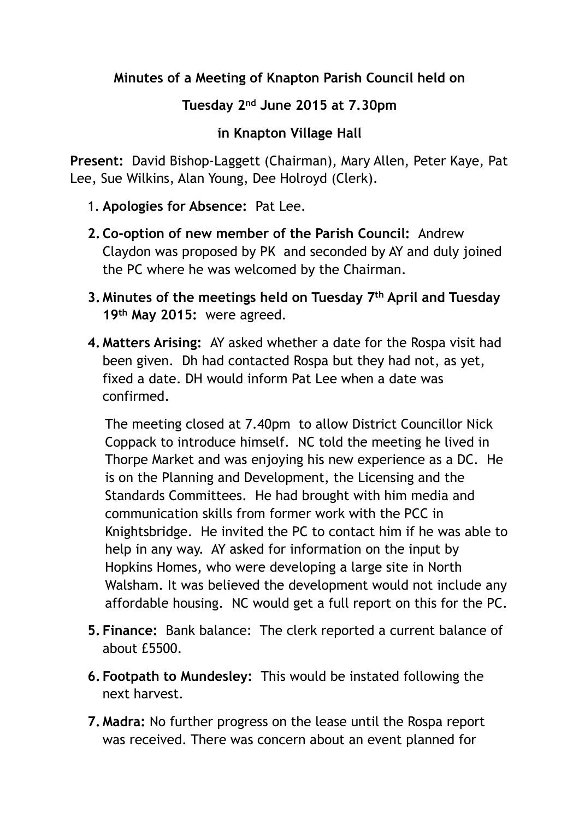## **Minutes of a Meeting of Knapton Parish Council held on**

## **Tuesday 2nd June 2015 at 7.30pm**

## **in Knapton Village Hall**

**Present:** David Bishop-Laggett (Chairman), Mary Allen, Peter Kaye, Pat Lee, Sue Wilkins, Alan Young, Dee Holroyd (Clerk).

- 1. **Apologies for Absence:** Pat Lee.
- **2.Co-option of new member of the Parish Council:** Andrew Claydon was proposed by PK and seconded by AY and duly joined the PC where he was welcomed by the Chairman.
- **3. Minutes of the meetings held on Tuesday 7th April and Tuesday 19th May 2015:** were agreed.
- **4. Matters Arising:** AY asked whether a date for the Rospa visit had been given. Dh had contacted Rospa but they had not, as yet, fixed a date. DH would inform Pat Lee when a date was confirmed.

The meeting closed at 7.40pm to allow District Councillor Nick Coppack to introduce himself. NC told the meeting he lived in Thorpe Market and was enjoying his new experience as a DC. He is on the Planning and Development, the Licensing and the Standards Committees. He had brought with him media and communication skills from former work with the PCC in Knightsbridge. He invited the PC to contact him if he was able to help in any way. AY asked for information on the input by Hopkins Homes, who were developing a large site in North Walsham. It was believed the development would not include any affordable housing. NC would get a full report on this for the PC.

- **5. Finance:** Bank balance: The clerk reported a current balance of about £5500.
- **6. Footpath to Mundesley:** This would be instated following the next harvest.
- **7. Madra:** No further progress on the lease until the Rospa report was received. There was concern about an event planned for